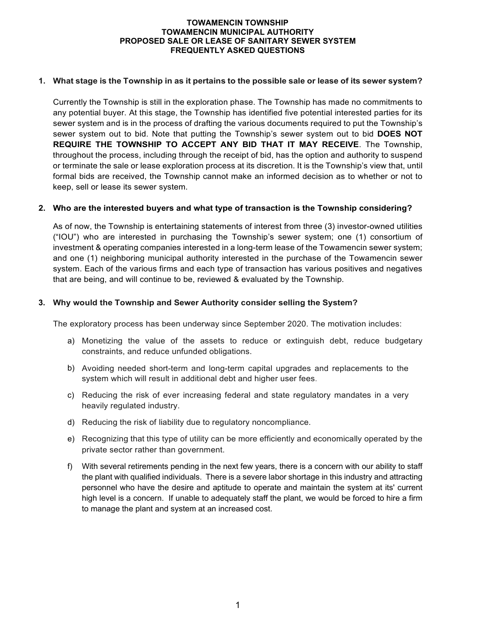## **1. What stage is the Township in as it pertains to the possible sale or lease of its sewer system?**

Currently the Township is still in the exploration phase. The Township has made no commitments to any potential buyer. At this stage, the Township has identified five potential interested parties for its sewer system and is in the process of drafting the various documents required to put the Township's sewer system out to bid. Note that putting the Township's sewer system out to bid **DOES NOT REQUIRE THE TOWNSHIP TO ACCEPT ANY BID THAT IT MAY RECEIVE**. The Township, throughout the process, including through the receipt of bid, has the option and authority to suspend or terminate the sale or lease exploration process at its discretion. It is the Township's view that, until formal bids are received, the Township cannot make an informed decision as to whether or not to keep, sell or lease its sewer system.

## **2. Who are the interested buyers and what type of transaction is the Township considering?**

As of now, the Township is entertaining statements of interest from three (3) investor-owned utilities ("IOU") who are interested in purchasing the Township's sewer system; one (1) consortium of investment & operating companies interested in a long-term lease of the Towamencin sewer system; and one (1) neighboring municipal authority interested in the purchase of the Towamencin sewer system. Each of the various firms and each type of transaction has various positives and negatives that are being, and will continue to be, reviewed & evaluated by the Township.

## **3. Why would the Township and Sewer Authority consider selling the System?**

The exploratory process has been underway since September 2020. The motivation includes:

- a) Monetizing the value of the assets to reduce or extinguish debt, reduce budgetary constraints, and reduce unfunded obligations.
- b) Avoiding needed short-term and long-term capital upgrades and replacements to the system which will result in additional debt and higher user fees.
- c) Reducing the risk of ever increasing federal and state regulatory mandates in a very heavily regulated industry.
- d) Reducing the risk of liability due to regulatory noncompliance.
- e) Recognizing that this type of utility can be more efficiently and economically operated by the private sector rather than government.
- f) With several retirements pending in the next few years, there is a concern with our ability to staff the plant with qualified individuals. There is a severe labor shortage in this industry and attracting personnel who have the desire and aptitude to operate and maintain the system at its' current high level is a concern. If unable to adequately staff the plant, we would be forced to hire a firm to manage the plant and system at an increased cost.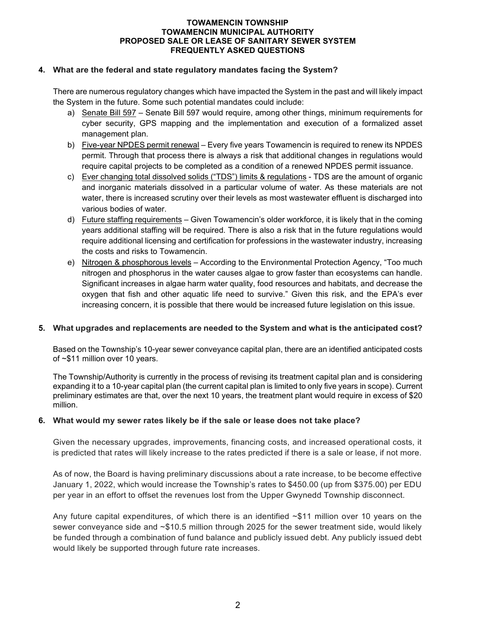## **4. What are the federal and state regulatory mandates facing the System?**

There are numerous regulatory changes which have impacted the System in the past and will likely impact the System in the future. Some such potential mandates could include:

- a) Senate Bill 597 Senate Bill 597 would require, among other things, minimum requirements for cyber security, GPS mapping and the implementation and execution of a formalized asset management plan.
- b) Five-year NPDES permit renewal Every five years Towamencin is required to renew its NPDES permit. Through that process there is always a risk that additional changes in regulations would require capital projects to be completed as a condition of a renewed NPDES permit issuance.
- c) Ever changing total dissolved solids ("TDS") limits & regulations TDS are the amount of organic and inorganic materials dissolved in a particular volume of water. As these materials are not water, there is increased scrutiny over their levels as most wastewater effluent is discharged into various bodies of water.
- d) Future staffing requirements Given Towamencin's older workforce, it is likely that in the coming years additional staffing will be required. There is also a risk that in the future regulations would require additional licensing and certification for professions in the wastewater industry, increasing the costs and risks to Towamencin.
- e) Nitrogen & phosphorous levels According to the Environmental Protection Agency, "Too much nitrogen and phosphorus in the water causes algae to grow faster than ecosystems can handle. Significant increases in algae harm water quality, food resources and habitats, and decrease the oxygen that fish and other aquatic life need to survive." Given this risk, and the EPA's ever increasing concern, it is possible that there would be increased future legislation on this issue.

# **5. What upgrades and replacements are needed to the System and what is the anticipated cost?**

Based on the Township's 10-year sewer conveyance capital plan, there are an identified anticipated costs of ~\$11 million over 10 years.

The Township/Authority is currently in the process of revising its treatment capital plan and is considering expanding it to a 10-year capital plan (the current capital plan is limited to only five years in scope). Current preliminary estimates are that, over the next 10 years, the treatment plant would require in excess of \$20 million.

#### **6. What would my sewer rates likely be if the sale or lease does not take place?**

Given the necessary upgrades, improvements, financing costs, and increased operational costs, it is predicted that rates will likely increase to the rates predicted if there is a sale or lease, if not more.

As of now, the Board is having preliminary discussions about a rate increase, to be become effective January 1, 2022, which would increase the Township's rates to \$450.00 (up from \$375.00) per EDU per year in an effort to offset the revenues lost from the Upper Gwynedd Township disconnect.

Any future capital expenditures, of which there is an identified  $\sim $11$  million over 10 years on the sewer conveyance side and ~\$10.5 million through 2025 for the sewer treatment side, would likely be funded through a combination of fund balance and publicly issued debt. Any publicly issued debt would likely be supported through future rate increases.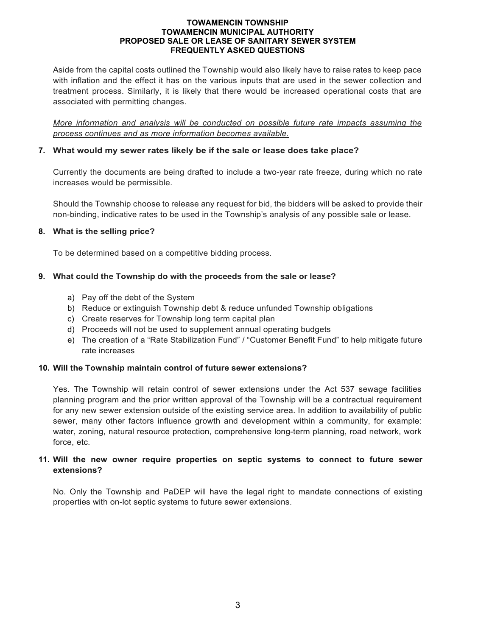Aside from the capital costs outlined the Township would also likely have to raise rates to keep pace with inflation and the effect it has on the various inputs that are used in the sewer collection and treatment process. Similarly, it is likely that there would be increased operational costs that are associated with permitting changes.

*More information and analysis will be conducted on possible future rate impacts assuming the process continues and as more information becomes available.*

# **7. What would my sewer rates likely be if the sale or lease does take place?**

Currently the documents are being drafted to include a two-year rate freeze, during which no rate increases would be permissible.

Should the Township choose to release any request for bid, the bidders will be asked to provide their non-binding, indicative rates to be used in the Township's analysis of any possible sale or lease.

## **8. What is the selling price?**

To be determined based on a competitive bidding process.

# **9. What could the Township do with the proceeds from the sale or lease?**

- a) Pay off the debt of the System
- b) Reduce or extinguish Township debt & reduce unfunded Township obligations
- c) Create reserves for Township long term capital plan
- d) Proceeds will not be used to supplement annual operating budgets
- e) The creation of a "Rate Stabilization Fund" / "Customer Benefit Fund" to help mitigate future rate increases

### **10. Will the Township maintain control of future sewer extensions?**

Yes. The Township will retain control of sewer extensions under the Act 537 sewage facilities planning program and the prior written approval of the Township will be a contractual requirement for any new sewer extension outside of the existing service area. In addition to availability of public sewer, many other factors influence growth and development within a community, for example: water, zoning, natural resource protection, comprehensive long-term planning, road network, work force, etc.

# **11. Will the new owner require properties on septic systems to connect to future sewer extensions?**

No. Only the Township and PaDEP will have the legal right to mandate connections of existing properties with on-lot septic systems to future sewer extensions.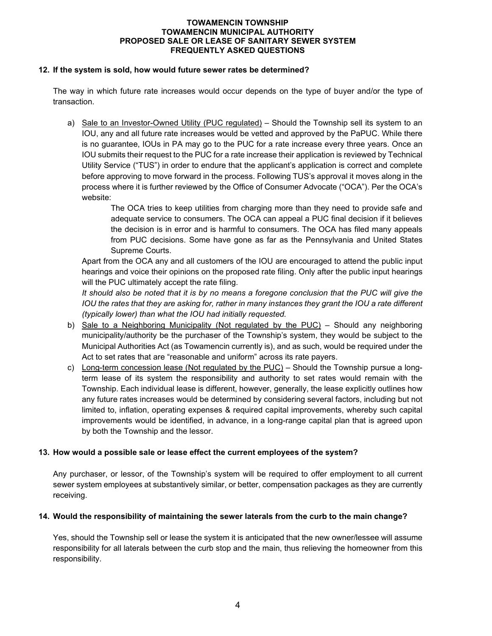## **12. If the system is sold, how would future sewer rates be determined?**

The way in which future rate increases would occur depends on the type of buyer and/or the type of transaction.

a) Sale to an Investor-Owned Utility (PUC regulated) – Should the Township sell its system to an IOU, any and all future rate increases would be vetted and approved by the PaPUC. While there is no guarantee, IOUs in PA may go to the PUC for a rate increase every three years. Once an IOU submits their request to the PUC for a rate increase their application is reviewed by Technical Utility Service ("TUS") in order to endure that the applicant's application is correct and complete before approving to move forward in the process. Following TUS's approval it moves along in the process where it is further reviewed by the Office of Consumer Advocate ("OCA"). Per the OCA's website:

> The OCA tries to keep utilities from charging more than they need to provide safe and adequate service to consumers. The OCA can appeal a PUC final decision if it believes the decision is in error and is harmful to consumers. The OCA has filed many appeals from PUC decisions. Some have gone as far as the Pennsylvania and United States Supreme Courts.

Apart from the OCA any and all customers of the IOU are encouraged to attend the public input hearings and voice their opinions on the proposed rate filing. Only after the public input hearings will the PUC ultimately accept the rate filing.

It should also be noted that it is by no means a foregone conclusion that the PUC will give the *IOU the rates that they are asking for, rather in many instances they grant the IOU a rate different (typically lower) than what the IOU had initially requested.*

- b) Sale to a Neighboring Municipality (Not regulated by the PUC) Should any neighboring municipality/authority be the purchaser of the Township's system, they would be subject to the Municipal Authorities Act (as Towamencin currently is), and as such, would be required under the Act to set rates that are "reasonable and uniform" across its rate payers.
- c) Long-term concession lease (Not regulated by the PUC) Should the Township pursue a longterm lease of its system the responsibility and authority to set rates would remain with the Township. Each individual lease is different, however, generally, the lease explicitly outlines how any future rates increases would be determined by considering several factors, including but not limited to, inflation, operating expenses & required capital improvements, whereby such capital improvements would be identified, in advance, in a long-range capital plan that is agreed upon by both the Township and the lessor.

# **13. How would a possible sale or lease effect the current employees of the system?**

Any purchaser, or lessor, of the Township's system will be required to offer employment to all current sewer system employees at substantively similar, or better, compensation packages as they are currently receiving.

#### **14. Would the responsibility of maintaining the sewer laterals from the curb to the main change?**

Yes, should the Township sell or lease the system it is anticipated that the new owner/lessee will assume responsibility for all laterals between the curb stop and the main, thus relieving the homeowner from this responsibility.